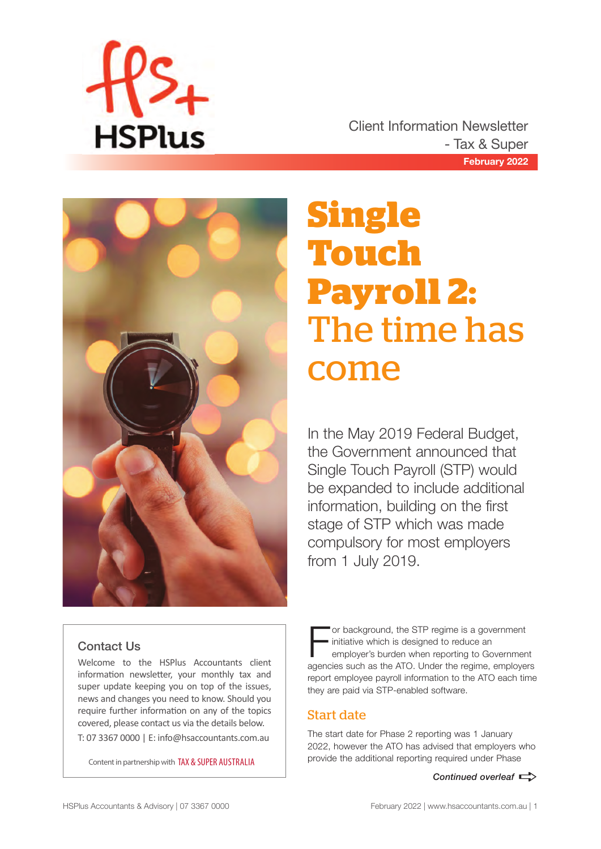

**February 2022** Client Information Newsletter - Tax & Super



# **Single Touch Payroll 2:**  The time has come

In the May 2019 Federal Budget, the Government announced that Single Touch Payroll (STP) would be expanded to include additional information, building on the first stage of STP which was made compulsory for most employers from 1 July 2019.

# Contact Us

Welcome to the HSPlus Accountants client information newsletter, your monthly tax and super update keeping you on top of the issues, news and changes you need to know. Should you require further information on any of the topics covered, please contact us via the details below. T: 07 3367 0000 | E: info@hsaccountants.com.au

Content in partnership with TAX & SUPER AUSTRALIA

or background, the STP regime is a government initiative which is designed to reduce an employer's burden when reporting to Government agencies such as the ATO. Under the regime, employers report employee payroll information to the ATO each time they are paid via STP-enabled software.

# Start date

The start date for Phase 2 reporting was 1 January 2022, however the ATO has advised that employers who provide the additional reporting required under Phase

*Continued overleaf*  $\Rightarrow$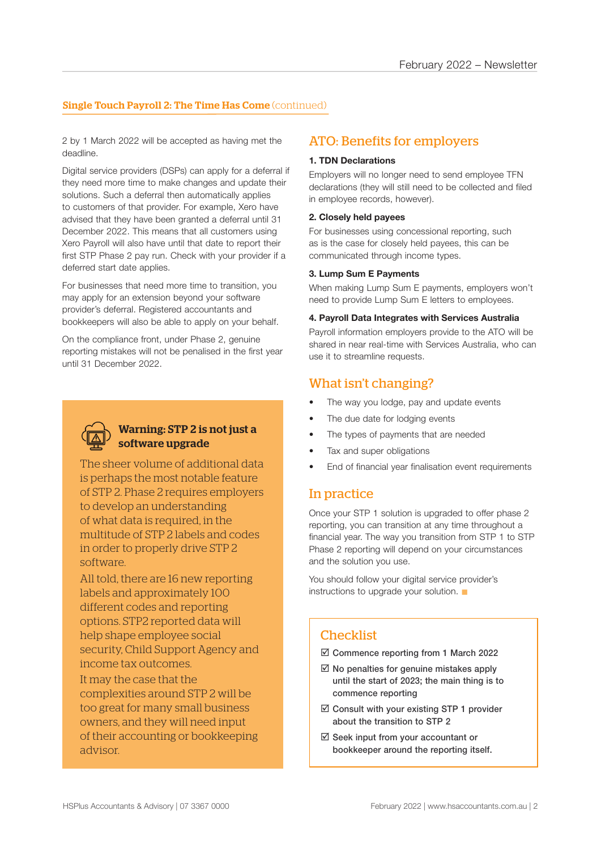#### **Single Touch Payroll 2: The Time Has Come** (continued)

2 by 1 March 2022 will be accepted as having met the deadline.

Digital service providers (DSPs) can apply for a deferral if they need more time to make changes and update their solutions. Such a deferral then automatically applies to customers of that provider. For example, Xero have advised that they have been granted a deferral until 31 December 2022. This means that all customers using Xero Payroll will also have until that date to report their first STP Phase 2 pay run. Check with your provider if a deferred start date applies.

For businesses that need more time to transition, you may apply for an extension beyond your software provider's deferral. Registered accountants and bookkeepers will also be able to apply on your behalf.

On the compliance front, under Phase 2, genuine reporting mistakes will not be penalised in the first year until 31 December 2022.



### Warning: STP 2 is not just a software upgrade

The sheer volume of additional data is perhaps the most notable feature of STP 2. Phase 2 requires employers to develop an understanding of what data is required, in the multitude of STP 2 labels and codes in order to properly drive STP 2 software.

All told, there are 16 new reporting labels and approximately 100 different codes and reporting options. STP2 reported data will help shape employee social security, Child Support Agency and income tax outcomes.

It may the case that the complexities around STP 2 will be too great for many small business owners, and they will need input of their accounting or bookkeeping advisor.

# ATO: Benefits for employers

#### **1. TDN Declarations**

Employers will no longer need to send employee TFN declarations (they will still need to be collected and filed in employee records, however).

#### **2. Closely held payees**

For businesses using concessional reporting, such as is the case for closely held payees, this can be communicated through income types.

#### **3. Lump Sum E Payments**

When making Lump Sum E payments, employers won't need to provide Lump Sum E letters to employees.

#### **4. Payroll Data Integrates with Services Australia**

Payroll information employers provide to the ATO will be shared in near real-time with Services Australia, who can use it to streamline requests.

### What isn't changing?

- The way you lodge, pay and update events
- The due date for lodging events
- The types of payments that are needed
- Tax and super obligations
- End of financial year finalisation event requirements

## In practice

Once your STP 1 solution is upgraded to offer phase 2 reporting, you can transition at any time throughout a financial year. The way you transition from STP 1 to STP Phase 2 reporting will depend on your circumstances and the solution you use.

You should follow your digital service provider's instructions to upgrade your solution.  $\blacksquare$ 

# **Checklist**

 $\boxtimes$  Commence reporting from 1 March 2022

- $\boxtimes$  No penalties for genuine mistakes apply until the start of 2023; the main thing is to commence reporting
- $\boxtimes$  Consult with your existing STP 1 provider about the transition to STP 2
- $\boxtimes$  Seek input from your accountant or bookkeeper around the reporting itself.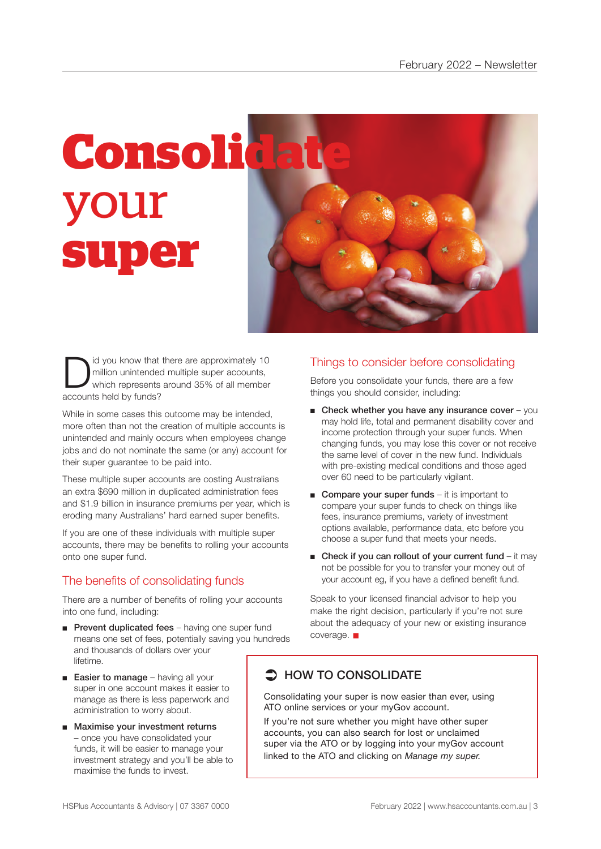

I id you know that there are approximately 10<br>million unintended multiple super accounts,<br>which represents around 35% of all member million unintended multiple super accounts, accounts held by funds?

While in some cases this outcome may be intended, more often than not the creation of multiple accounts is unintended and mainly occurs when employees change jobs and do not nominate the same (or any) account for their super guarantee to be paid into.

These multiple super accounts are costing Australians an extra \$690 million in duplicated administration fees and \$1.9 billion in insurance premiums per year, which is eroding many Australians' hard earned super benefits.

If you are one of these individuals with multiple super accounts, there may be benefits to rolling your accounts onto one super fund.

# The benefits of consolidating funds

There are a number of benefits of rolling your accounts into one fund, including:

- Prevent duplicated fees having one super fund means one set of fees, potentially saving you hundreds and thousands of dollars over your lifetime.
- Easier to manage having all your super in one account makes it easier to manage as there is less paperwork and administration to worry about.
- Maximise your investment returns – once you have consolidated your funds, it will be easier to manage your investment strategy and you'll be able to maximise the funds to invest.

# Things to consider before consolidating

Before you consolidate your funds, there are a few things you should consider, including:

- $\blacksquare$  Check whether you have any insurance cover you may hold life, total and permanent disability cover and income protection through your super funds. When changing funds, you may lose this cover or not receive the same level of cover in the new fund. Individuals with pre-existing medical conditions and those aged over 60 need to be particularly vigilant.
- Compare your super funds it is important to compare your super funds to check on things like fees, insurance premiums, variety of investment options available, performance data, etc before you choose a super fund that meets your needs.
- Check if you can rollout of your current fund  $-$  it may not be possible for you to transfer your money out of your account eg, if you have a defined benefit fund.

Speak to your licensed financial advisor to help you make the right decision, particularly if you're not sure about the adequacy of your new or existing insurance  $coverae.$ 

# $\supset$  HOW TO CONSOLIDATE

Consolidating your super is now easier than ever, using ATO online services or your myGov account.

If you're not sure whether you might have other super accounts, you can also search for lost or unclaimed super via the ATO or by logging into your myGov account linked to the ATO and clicking on *Manage my super.*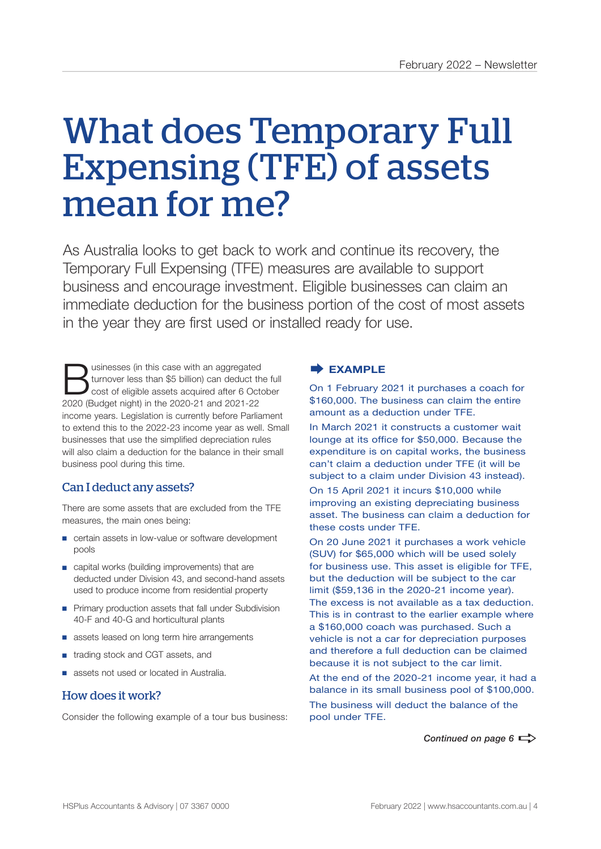# What does Temporary Full Expensing (TFE) of assets mean for me?

As Australia looks to get back to work and continue its recovery, the Temporary Full Expensing (TFE) measures are available to support business and encourage investment. Eligible businesses can claim an immediate deduction for the business portion of the cost of most assets in the year they are first used or installed ready for use.

Usinesses (in this case with an aggregated<br>
cost of eligible assets acquired after 6 October<br>
2020 (Budget pight) in the 2020 21 and 2021 22 turnover less than \$5 billion) can deduct the full 2020 (Budget night) in the 2020-21 and 2021-22 income years. Legislation is currently before Parliament to extend this to the 2022-23 income year as well. Small businesses that use the simplified depreciation rules will also claim a deduction for the balance in their small business pool during this time.

# Can I deduct any assets?

There are some assets that are excluded from the TFE measures, the main ones being:

- certain assets in low-value or software development pools
- capital works (building improvements) that are deducted under Division 43, and second-hand assets used to produce income from residential property
- Primary production assets that fall under Subdivision 40-F and 40-G and horticultural plants
- assets leased on long term hire arrangements
- trading stock and CGT assets, and
- assets not used or located in Australia.

#### How does it work?

Consider the following example of a tour bus business:

#### **EXAMPLE**

On 1 February 2021 it purchases a coach for \$160,000. The business can claim the entire amount as a deduction under TFE.

In March 2021 it constructs a customer wait lounge at its office for \$50,000. Because the expenditure is on capital works, the business can't claim a deduction under TFE (it will be subject to a claim under Division 43 instead). On 15 April 2021 it incurs \$10,000 while improving an existing depreciating business

asset. The business can claim a deduction for these costs under TFE.

On 20 June 2021 it purchases a work vehicle (SUV) for \$65,000 which will be used solely for business use. This asset is eligible for TFE, but the deduction will be subject to the car limit (\$59,136 in the 2020-21 income year). The excess is not available as a tax deduction. This is in contrast to the earlier example where a \$160,000 coach was purchased. Such a vehicle is not a car for depreciation purposes and therefore a full deduction can be claimed because it is not subject to the car limit.

At the end of the 2020-21 income year, it had a balance in its small business pool of \$100,000. The business will deduct the balance of the pool under TFE.

*Continued on page 6*  $\Rightarrow$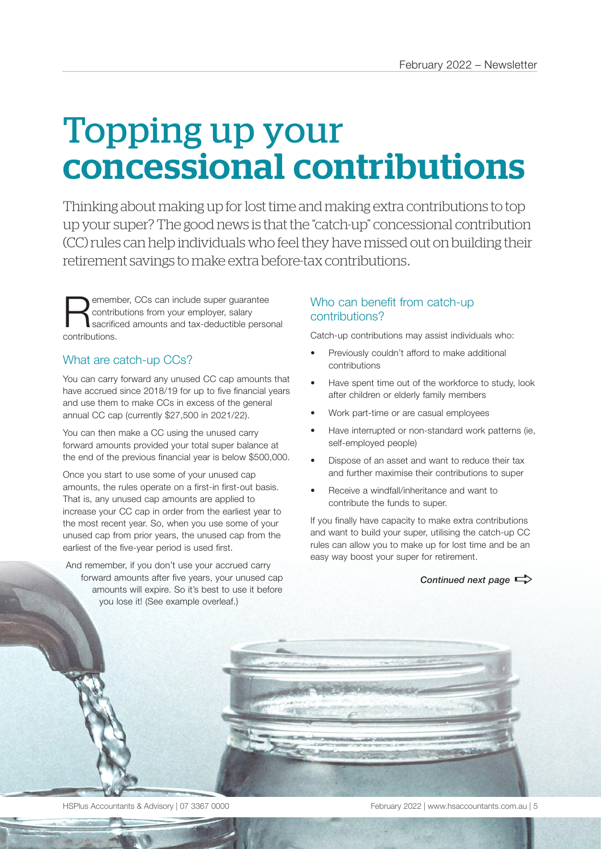# Topping up your concessional contributions

Thinking about making up for lost time and making extra contributions to top up your super? The good news is that the "catch-up" concessional contribution (CC) rules can help individuals who feel they have missed out on building their retirement savings to make extra before-tax contributions.

**Remember, CCs can include super guarantee**<br>
sacrificed amounts and tax-deductible personal<br>
contributions contributions from your employer, salary contributions.

# What are catch-up CCs?

You can carry forward any unused CC cap amounts that have accrued since 2018/19 for up to five financial years and use them to make CCs in excess of the general annual CC cap (currently \$27,500 in 2021/22).

You can then make a CC using the unused carry forward amounts provided your total super balance at the end of the previous financial year is below \$500,000.

Once you start to use some of your unused cap amounts, the rules operate on a first-in first-out basis. That is, any unused cap amounts are applied to increase your CC cap in order from the earliest year to the most recent year. So, when you use some of your unused cap from prior years, the unused cap from the earliest of the five-year period is used first.

And remember, if you don't use your accrued carry forward amounts after five years, your unused cap amounts will expire. So it's best to use it before you lose it! (See example overleaf.)

# Who can benefit from catch-up contributions?

Catch-up contributions may assist individuals who:

- Previously couldn't afford to make additional contributions
- Have spent time out of the workforce to study, look after children or elderly family members
- Work part-time or are casual employees
- Have interrupted or non-standard work patterns (ie, self-employed people)
- Dispose of an asset and want to reduce their tax and further maximise their contributions to super
- Receive a windfall/inheritance and want to contribute the funds to super.

If you finally have capacity to make extra contributions and want to build your super, utilising the catch-up CC rules can allow you to make up for lost time and be an easy way boost your super for retirement.

*Continued next page* 



HSPlus Accountants & Advisory | 07 3367 0000 February 2022 | www.hsaccountants.com.au | 5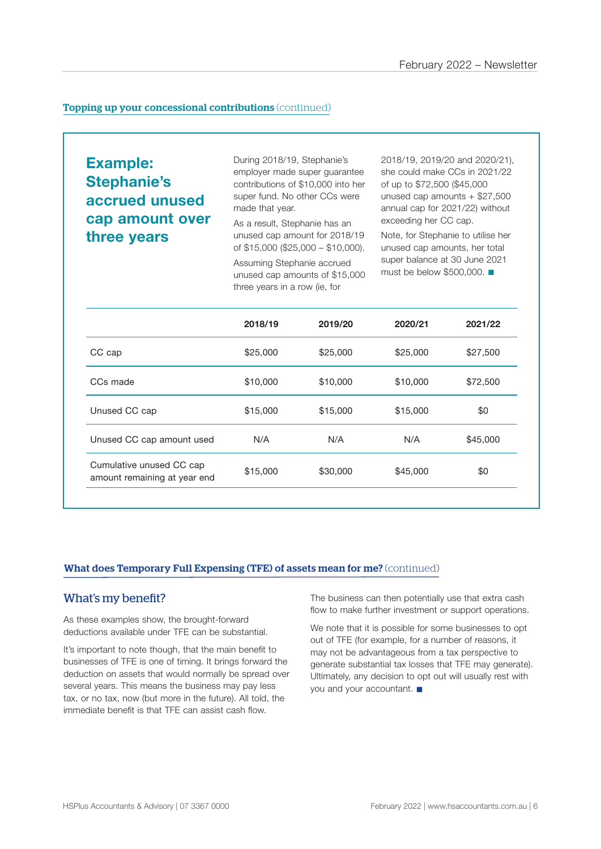#### **Topping up your concessional contributions** (continued)

**Example: Stephanie's accrued unused cap amount over three years** 

During 2018/19, Stephanie's employer made super guarantee contributions of \$10,000 into her super fund. No other CCs were made that year.

As a result, Stephanie has an unused cap amount for 2018/19 of \$15,000 (\$25,000 – \$10,000).

Assuming Stephanie accrued unused cap amounts of \$15,000 three years in a row (ie, for

2018/19, 2019/20 and 2020/21), she could make CCs in 2021/22 of up to \$72,500 (\$45,000 unused cap amounts + \$27,500 annual cap for 2021/22) without exceeding her CC cap.

Note, for Stephanie to utilise her unused cap amounts, her total super balance at 30 June 2021 must be below  $$500,000$ .

|                                                          | 2018/19  | 2019/20  | 2020/21  | 2021/22  |
|----------------------------------------------------------|----------|----------|----------|----------|
| CC cap                                                   | \$25,000 | \$25,000 | \$25,000 | \$27,500 |
| CCs made                                                 | \$10,000 | \$10,000 | \$10,000 | \$72,500 |
| Unused CC cap                                            | \$15,000 | \$15,000 | \$15,000 | \$0      |
| Unused CC cap amount used                                | N/A      | N/A      | N/A      | \$45,000 |
| Cumulative unused CC cap<br>amount remaining at year end | \$15,000 | \$30,000 | \$45,000 | \$0      |
|                                                          |          |          |          |          |

#### What does Temporary Full Expensing (TFE) of assets mean for me? (continued)

#### What's my benefit?

As these examples show, the brought-forward deductions available under TFE can be substantial.

It's important to note though, that the main benefit to businesses of TFE is one of timing. It brings forward the deduction on assets that would normally be spread over several years. This means the business may pay less tax, or no tax, now (but more in the future). All told, the immediate benefit is that TFE can assist cash flow.

The business can then potentially use that extra cash flow to make further investment or support operations.

We note that it is possible for some businesses to opt out of TFE (for example, for a number of reasons, it may not be advantageous from a tax perspective to generate substantial tax losses that TFE may generate). Ultimately, any decision to opt out will usually rest with you and your accountant.  $\blacksquare$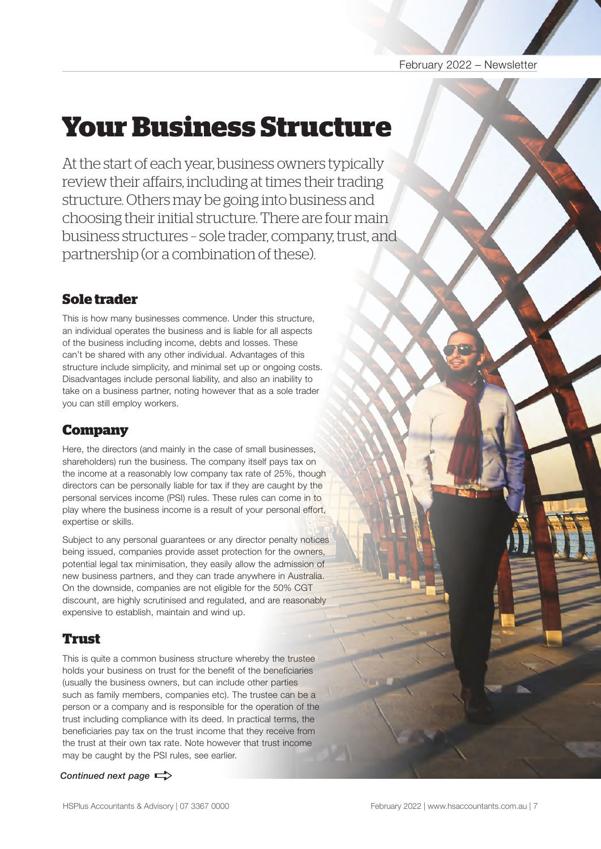#### February 2022 – Newsletter

# **Your Business Structure**

At the start of each year, business owners typically review their affairs, including at times their trading structure. Others may be going into business and choosing their initial structure. There are four main business structures – sole trader, company, trust, and partnership (or a combination of these).

# **Sole trader**

This is how many businesses commence. Under this structure, an individual operates the business and is liable for all aspects of the business including income, debts and losses. These can't be shared with any other individual. Advantages of this structure include simplicity, and minimal set up or ongoing costs. Disadvantages include personal liability, and also an inability to take on a business partner, noting however that as a sole trader you can still employ workers.

# **Company**

Here, the directors (and mainly in the case of small businesses, shareholders) run the business. The company itself pays tax on the income at a reasonably low company tax rate of 25%, though directors can be personally liable for tax if they are caught by the personal services income (PSI) rules. These rules can come in to play where the business income is a result of your personal effort, expertise or skills.

Subject to any personal guarantees or any director penalty notices being issued, companies provide asset protection for the owners, potential legal tax minimisation, they easily allow the admission of new business partners, and they can trade anywhere in Australia. On the downside, companies are not eligible for the 50% CGT discount, are highly scrutinised and regulated, and are reasonably expensive to establish, maintain and wind up.

# **Trust**

This is quite a common business structure whereby the trustee holds your business on trust for the benefit of the beneficiaries (usually the business owners, but can include other parties such as family members, companies etc). The trustee can be a person or a company and is responsible for the operation of the trust including compliance with its deed. In practical terms, the beneficiaries pay tax on the trust income that they receive from the trust at their own tax rate. Note however that trust income may be caught by the PSI rules, see earlier.

#### *Continued next page*  $\Rightarrow$